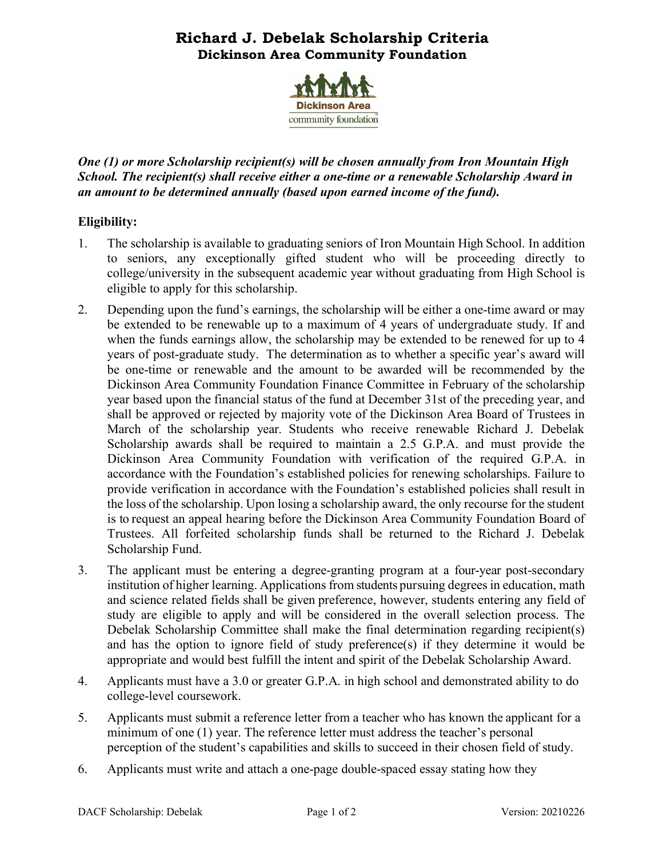# **Richard J. Debelak Scholarship Criteria Dickinson Area Community Foundation**



*One (1) or more Scholarship recipient(s) will be chosen annually from Iron Mountain High School. The recipient(s) shall receive either a one-time or a renewable Scholarship Award in an amount to be determined annually (based upon earned income of the fund).*

## **Eligibility:**

- 1. The scholarship is available to graduating seniors of Iron Mountain High School. In addition to seniors, any exceptionally gifted student who will be proceeding directly to college/university in the subsequent academic year without graduating from High School is eligible to apply for this scholarship.
- 2. Depending upon the fund's earnings, the scholarship will be either a one-time award or may be extended to be renewable up to a maximum of 4 years of undergraduate study. If and when the funds earnings allow, the scholarship may be extended to be renewed for up to 4 years of post-graduate study. The determination as to whether a specific year's award will be one-time or renewable and the amount to be awarded will be recommended by the Dickinson Area Community Foundation Finance Committee in February of the scholarship year based upon the financial status of the fund at December 31st of the preceding year, and shall be approved or rejected by majority vote of the Dickinson Area Board of Trustees in March of the scholarship year. Students who receive renewable Richard J. Debelak Scholarship awards shall be required to maintain a 2.5 G.P.A. and must provide the Dickinson Area Community Foundation with verification of the required G.P.A. in accordance with the Foundation's established policies for renewing scholarships. Failure to provide verification in accordance with the Foundation's established policies shall result in the loss of the scholarship. Upon losing a scholarship award, the only recourse for the student is to request an appeal hearing before the Dickinson Area Community Foundation Board of Trustees. All forfeited scholarship funds shall be returned to the Richard J. Debelak Scholarship Fund.
- 3. The applicant must be entering a degree-granting program at a four-year post-secondary institution of higher learning. Applications from students pursuing degrees in education, math and science related fields shall be given preference, however, students entering any field of study are eligible to apply and will be considered in the overall selection process. The Debelak Scholarship Committee shall make the final determination regarding recipient(s) and has the option to ignore field of study preference(s) if they determine it would be appropriate and would best fulfill the intent and spirit of the Debelak Scholarship Award.
- 4. Applicants must have a 3.0 or greater G.P.A. in high school and demonstrated ability to do college-level coursework.
- 5. Applicants must submit a reference letter from a teacher who has known the applicant for a minimum of one (1) year. The reference letter must address the teacher's personal perception of the student's capabilities and skills to succeed in their chosen field of study.
- 6. Applicants must write and attach a one-page double-spaced essay stating how they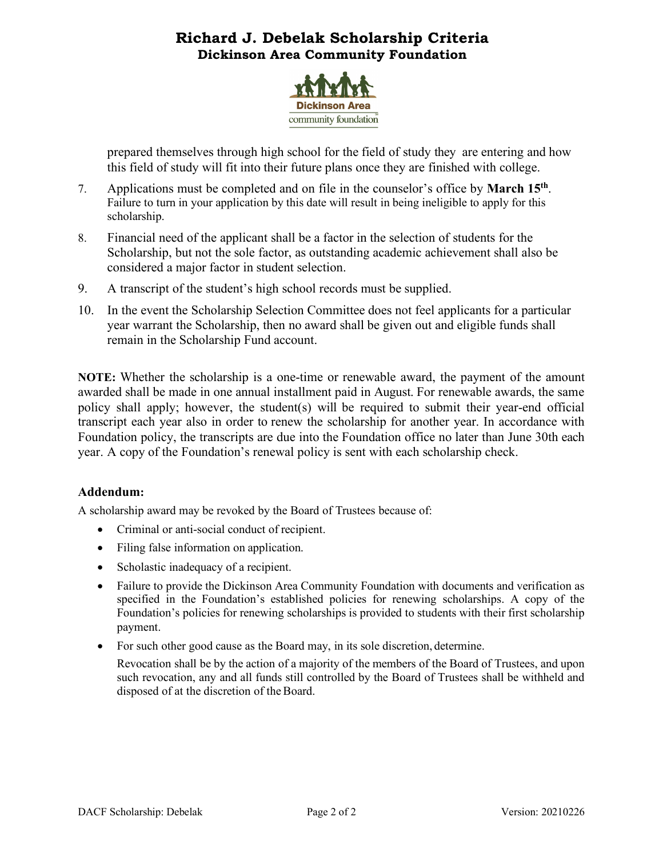# **Richard J. Debelak Scholarship Criteria Dickinson Area Community Foundation**



prepared themselves through high school for the field of study they are entering and how this field of study will fit into their future plans once they are finished with college.

- 7. Applications must be completed and on file in the counselor's office by **March 15th**. Failure to turn in your application by this date will result in being ineligible to apply for this scholarship.
- 8. Financial need of the applicant shall be a factor in the selection of students for the Scholarship, but not the sole factor, as outstanding academic achievement shall also be considered a major factor in student selection.
- 9. A transcript of the student's high school records must be supplied.
- 10. In the event the Scholarship Selection Committee does not feel applicants for a particular year warrant the Scholarship, then no award shall be given out and eligible funds shall remain in the Scholarship Fund account.

**NOTE:** Whether the scholarship is a one-time or renewable award, the payment of the amount awarded shall be made in one annual installment paid in August. For renewable awards, the same policy shall apply; however, the student(s) will be required to submit their year-end official transcript each year also in order to renew the scholarship for another year. In accordance with Foundation policy, the transcripts are due into the Foundation office no later than June 30th each year. A copy of the Foundation's renewal policy is sent with each scholarship check.

## **Addendum:**

A scholarship award may be revoked by the Board of Trustees because of:

- Criminal or anti-social conduct of recipient.
- Filing false information on application.
- Scholastic inadequacy of a recipient.
- Failure to provide the Dickinson Area Community Foundation with documents and verification as specified in the Foundation's established policies for renewing scholarships. A copy of the Foundation's policies for renewing scholarships is provided to students with their first scholarship payment.
- For such other good cause as the Board may, in its sole discretion, determine.

Revocation shall be by the action of a majority of the members of the Board of Trustees, and upon such revocation, any and all funds still controlled by the Board of Trustees shall be withheld and disposed of at the discretion of the Board.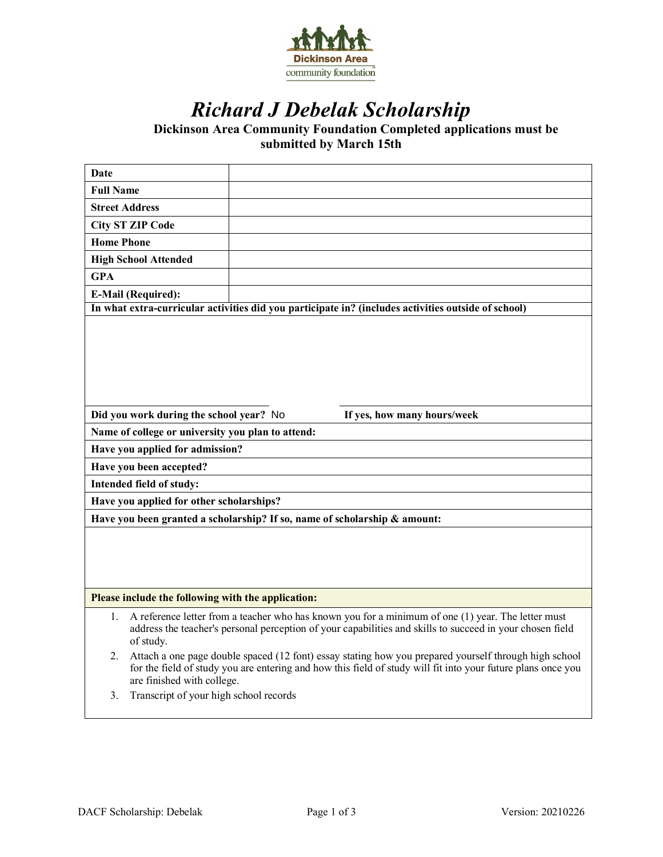

# *Richard J Debelak Scholarship*

**Dickinson Area Community Foundation Completed applications must be submitted by March 15th**

| Date                                                                                                |                                                                                                                                                                                                                                                     |
|-----------------------------------------------------------------------------------------------------|-----------------------------------------------------------------------------------------------------------------------------------------------------------------------------------------------------------------------------------------------------|
| <b>Full Name</b>                                                                                    |                                                                                                                                                                                                                                                     |
| <b>Street Address</b>                                                                               |                                                                                                                                                                                                                                                     |
|                                                                                                     | <b>City ST ZIP Code</b>                                                                                                                                                                                                                             |
| <b>Home Phone</b>                                                                                   |                                                                                                                                                                                                                                                     |
|                                                                                                     | <b>High School Attended</b>                                                                                                                                                                                                                         |
| <b>GPA</b>                                                                                          |                                                                                                                                                                                                                                                     |
|                                                                                                     | <b>E-Mail (Required):</b>                                                                                                                                                                                                                           |
| In what extra-curricular activities did you participate in? (includes activities outside of school) |                                                                                                                                                                                                                                                     |
|                                                                                                     |                                                                                                                                                                                                                                                     |
|                                                                                                     |                                                                                                                                                                                                                                                     |
|                                                                                                     |                                                                                                                                                                                                                                                     |
|                                                                                                     |                                                                                                                                                                                                                                                     |
|                                                                                                     |                                                                                                                                                                                                                                                     |
| Did you work during the school year? No<br>If yes, how many hours/week                              |                                                                                                                                                                                                                                                     |
| Name of college or university you plan to attend:                                                   |                                                                                                                                                                                                                                                     |
| Have you applied for admission?                                                                     |                                                                                                                                                                                                                                                     |
| Have you been accepted?                                                                             |                                                                                                                                                                                                                                                     |
| Intended field of study:                                                                            |                                                                                                                                                                                                                                                     |
| Have you applied for other scholarships?                                                            |                                                                                                                                                                                                                                                     |
| Have you been granted a scholarship? If so, name of scholarship & amount:                           |                                                                                                                                                                                                                                                     |
|                                                                                                     |                                                                                                                                                                                                                                                     |
|                                                                                                     |                                                                                                                                                                                                                                                     |
|                                                                                                     |                                                                                                                                                                                                                                                     |
|                                                                                                     |                                                                                                                                                                                                                                                     |
| Please include the following with the application:                                                  |                                                                                                                                                                                                                                                     |
| 1.                                                                                                  | A reference letter from a teacher who has known you for a minimum of one (1) year. The letter must<br>address the teacher's personal perception of your capabilities and skills to succeed in your chosen field<br>of study.                        |
| 2.                                                                                                  | Attach a one page double spaced (12 font) essay stating how you prepared yourself through high school<br>for the field of study you are entering and how this field of study will fit into your future plans once you<br>are finished with college. |
| 3.                                                                                                  | Transcript of your high school records                                                                                                                                                                                                              |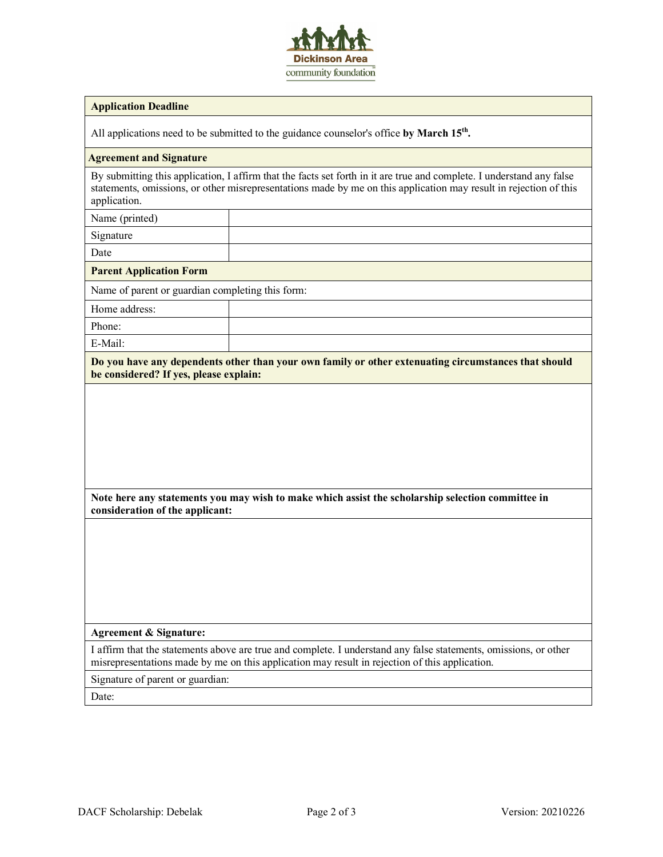

### **Application Deadline**

All applications need to be submitted to the guidance counselor's office by March 15<sup>th</sup>.

#### **Agreement and Signature**

By submitting this application, I affirm that the facts set forth in it are true and complete. I understand any false statements, omissions, or other misrepresentations made by me on this application may result in rejection of this application.

Name (printed)

Signature

Date

**Parent Application Form**

Name of parent or guardian completing this form:

Home address:

Phone:

E-Mail:

**Do you have any dependents other than your own family or other extenuating circumstances that should be considered? If yes, please explain:**

**Note here any statements you may wish to make which assist the scholarship selection committee in consideration of the applicant:**

### **Agreement & Signature:**

I affirm that the statements above are true and complete. I understand any false statements, omissions, or other misrepresentations made by me on this application may result in rejection of this application.

Signature of parent or guardian:

Date: